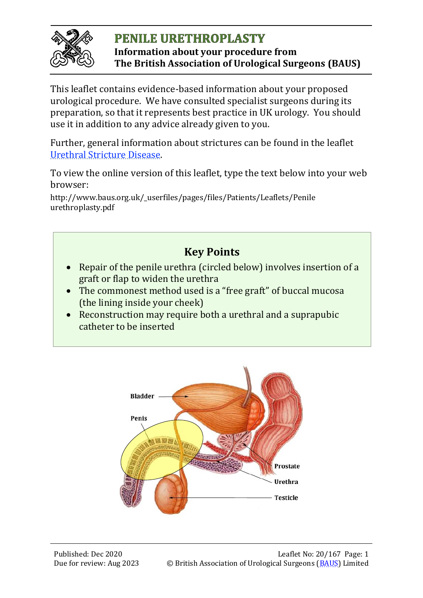

#### **PENILE URETHROPLASTY Information about your procedure from The British Association of Urological Surgeons (BAUS)**

This leaflet contains evidence-based information about your proposed urological procedure. We have consulted specialist surgeons during its preparation, so that it represents best practice in UK urology. You should use it in addition to any advice already given to you.

Further, general information about strictures can be found in the leaflet [Urethral Stricture Disease.](http://www.baus.org.uk/_userfiles/pages/files/Patients/Leaflets/Urethral%20Stricture%20Disease.pdf)

To view the online version of this leaflet, type the text below into your web browser:

http://www.baus.org.uk/\_userfiles/pages/files/Patients/Leaflets/Penile urethroplasty.pdf



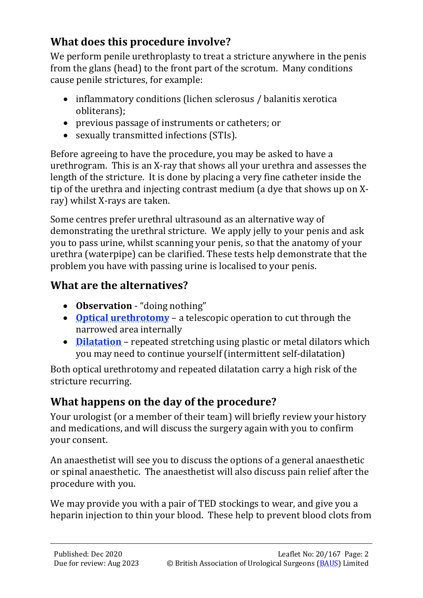## **What does this procedure involve?**

We perform penile urethroplasty to treat a stricture anywhere in the penis from the glans (head) to the front part of the scrotum. Many conditions cause penile strictures, for example:

- inflammatory conditions (lichen sclerosus / balanitis xerotica obliterans);
- previous passage of instruments or catheters; or
- sexually transmitted infections (STIs).

Before agreeing to have the procedure, you may be asked to have a urethrogram. This is an X-ray that shows all your urethra and assesses the length of the stricture. It is done by placing a very fine catheter inside the tip of the urethra and injecting contrast medium (a dye that shows up on Xray) whilst X-rays are taken.

Some centres prefer urethral ultrasound as an alternative way of demonstrating the urethral stricture. We apply jelly to your penis and ask you to pass urine, whilst scanning your penis, so that the anatomy of your urethra (waterpipe) can be clarified. These tests help demonstrate that the problem you have with passing urine is localised to your penis.

## **What are the alternatives?**

- **Observation** "doing nothing"
- **[Optical urethrotomy](http://www.baus.org.uk/_userfiles/pages/files/Patients/Leaflets/Endoscopic%20stricture%20treatment.pdf)** a telescopic operation to cut through the narrowed area internally
- **[Dilatation](http://www.baus.org.uk/_userfiles/pages/files/Patients/Leaflets/Endoscopic%20stricture%20treatment.pdf)** repeated stretching using plastic or metal dilators which you may need to continue yourself (intermittent self-dilatation)

Both optical urethrotomy and repeated dilatation carry a high risk of the stricture recurring.

# **What happens on the day of the procedure?**

Your urologist (or a member of their team) will briefly review your history and medications, and will discuss the surgery again with you to confirm your consent.

An anaesthetist will see you to discuss the options of a general anaesthetic or spinal anaesthetic. The anaesthetist will also discuss pain relief after the procedure with you.

We may provide you with a pair of TED stockings to wear, and give you a heparin injection to thin your blood. These help to prevent blood clots from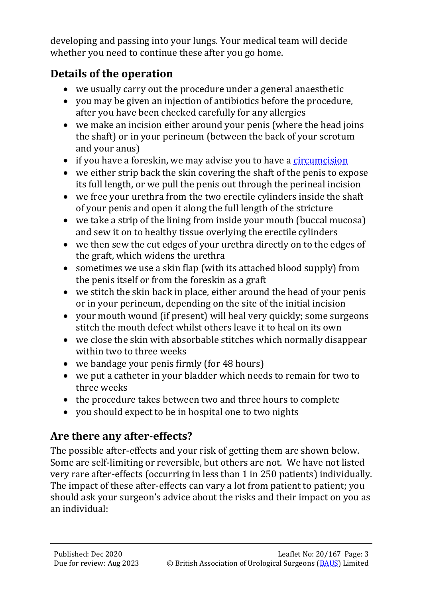developing and passing into your lungs. Your medical team will decide whether you need to continue these after you go home.

## **Details of the operation**

- we usually carry out the procedure under a general anaesthetic
- you may be given an injection of antibiotics before the procedure, after you have been checked carefully for any allergies
- we make an incision either around your penis (where the head joins the shaft) or in your perineum (between the back of your scrotum and your anus)
- if you have a foreskin, we may advise you to have a [circumcision](http://www.baus.org.uk/_userfiles/pages/files/Patients/Leaflets/Circumcision.pdf)
- we either strip back the skin covering the shaft of the penis to expose its full length, or we pull the penis out through the perineal incision
- we free your urethra from the two erectile cylinders inside the shaft of your penis and open it along the full length of the stricture
- we take a strip of the lining from inside your mouth (buccal mucosa) and sew it on to healthy tissue overlying the erectile cylinders
- we then sew the cut edges of your urethra directly on to the edges of the graft, which widens the urethra
- sometimes we use a skin flap (with its attached blood supply) from the penis itself or from the foreskin as a graft
- we stitch the skin back in place, either around the head of your penis or in your perineum, depending on the site of the initial incision
- your mouth wound (if present) will heal very quickly; some surgeons stitch the mouth defect whilst others leave it to heal on its own
- we close the skin with absorbable stitches which normally disappear within two to three weeks
- we bandage your penis firmly (for 48 hours)
- we put a catheter in your bladder which needs to remain for two to three weeks
- the procedure takes between two and three hours to complete
- you should expect to be in hospital one to two nights

# **Are there any after-effects?**

The possible after-effects and your risk of getting them are shown below. Some are self-limiting or reversible, but others are not. We have not listed very rare after-effects (occurring in less than 1 in 250 patients) individually. The impact of these after-effects can vary a lot from patient to patient; you should ask your surgeon's advice about the risks and their impact on you as an individual: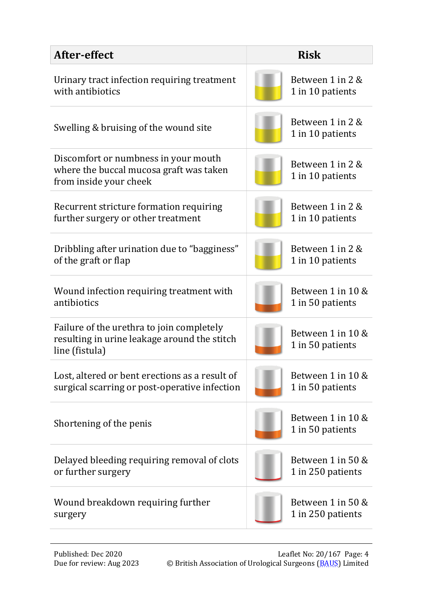| After-effect                                                                                                | <b>Risk</b>                           |
|-------------------------------------------------------------------------------------------------------------|---------------------------------------|
| Urinary tract infection requiring treatment                                                                 | Between 1 in 2 &                      |
| with antibiotics                                                                                            | 1 in 10 patients                      |
| Swelling & bruising of the wound site                                                                       | Between 1 in 2 &<br>1 in 10 patients  |
| Discomfort or numbness in your mouth<br>where the buccal mucosa graft was taken<br>from inside your cheek   | Between 1 in 2 &<br>1 in 10 patients  |
| Recurrent stricture formation requiring                                                                     | Between 1 in 2 &                      |
| further surgery or other treatment                                                                          | 1 in 10 patients                      |
| Dribbling after urination due to "bagginess"                                                                | Between 1 in 2 &                      |
| of the graft or flap                                                                                        | 1 in 10 patients                      |
| Wound infection requiring treatment with                                                                    | Between 1 in 10 &                     |
| antibiotics                                                                                                 | 1 in 50 patients                      |
| Failure of the urethra to join completely<br>resulting in urine leakage around the stitch<br>line (fistula) | Between 1 in 10 &<br>1 in 50 patients |
| Lost, altered or bent erections as a result of                                                              | Between 1 in 10 &                     |
| surgical scarring or post-operative infection                                                               | 1 in 50 patients                      |
| Shortening of the penis                                                                                     | Between 1 in 10 &<br>1 in 50 patients |
| Delayed bleeding requiring removal of clots                                                                 | Between 1 in 50 &                     |
| or further surgery                                                                                          | 1 in 250 patients                     |
| Wound breakdown requiring further                                                                           | Between 1 in 50 &                     |
| surgery                                                                                                     | 1 in 250 patients                     |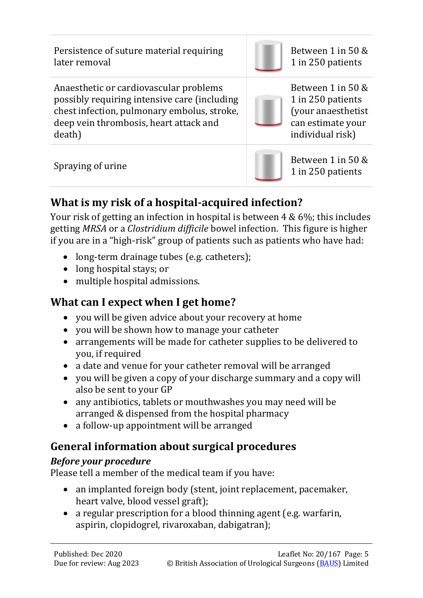Persistence of suture material requiring later removal Between 1 in 50 & 1 in 250 patients Anaesthetic or cardiovascular problems possibly requiring intensive care (including chest infection, pulmonary embolus, stroke, deep vein thrombosis, heart attack and death) Between 1 in 50 & 1 in 250 patients (your anaesthetist can estimate your individual risk)

Spraying of urine Between 1 in 50 & 1 in 250 patients

# **What is my risk of a hospital-acquired infection?**

Your risk of getting an infection in hospital is between 4 & 6%; this includes getting *MRSA* or a *Clostridium difficile* bowel infection. This figure is higher if you are in a "high-risk" group of patients such as patients who have had:

- long-term drainage tubes (e.g. catheters);
- long hospital stays; or
- multiple hospital admissions.

# **What can I expect when I get home?**

- you will be given advice about your recovery at home
- you will be shown how to manage your catheter
- arrangements will be made for catheter supplies to be delivered to you, if required
- a date and venue for your catheter removal will be arranged
- you will be given a copy of your discharge summary and a copy will also be sent to your GP
- any antibiotics, tablets or mouthwashes you may need will be arranged & dispensed from the hospital pharmacy
- a follow-up appointment will be arranged

# **General information about surgical procedures**

### *Before your procedure*

Please tell a member of the medical team if you have:

- an implanted foreign body (stent, joint replacement, pacemaker, heart valve, blood vessel graft);
- a regular prescription for a blood thinning agent (e.g. warfarin, aspirin, clopidogrel, rivaroxaban, dabigatran);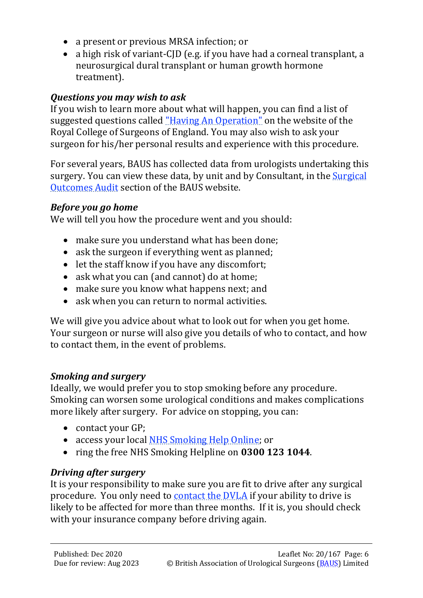- a present or previous MRSA infection; or
- a high risk of variant-CID (e.g. if you have had a corneal transplant, a neurosurgical dural transplant or human growth hormone treatment).

#### *Questions you may wish to ask*

If you wish to learn more about what will happen, you can find a list of suggested questions called ["Having An Operation"](https://www.rcseng.ac.uk/-/media/files/rcs/library-and-publications/non-journal-publications/having-an-operation.pdf) on the website of the Royal College of Surgeons of England. You may also wish to ask your surgeon for his/her personal results and experience with this procedure.

For several years, BAUS has collected data from urologists undertaking this surgery. You can view these data, by unit and by Consultant, in the Surgical [Outcomes Audit](http://www.baus.org.uk/patients/surgical_outcomes/nephrectomy/default.aspx) section of the BAUS website.

#### *Before you go home*

We will tell you how the procedure went and you should:

- make sure you understand what has been done;
- ask the surgeon if everything went as planned;
- let the staff know if you have any discomfort;
- ask what you can (and cannot) do at home;
- make sure you know what happens next; and
- ask when you can return to normal activities.

We will give you advice about what to look out for when you get home. Your surgeon or nurse will also give you details of who to contact, and how to contact them, in the event of problems.

#### *Smoking and surgery*

Ideally, we would prefer you to stop smoking before any procedure. Smoking can worsen some urological conditions and makes complications more likely after surgery. For advice on stopping, you can:

- contact your GP;
- access your local [NHS Smoking Help Online;](http://www.nhs.uk/smokefree/help-and-advice/local-support-services-helplines) or
- ring the free NHS Smoking Helpline on **0300 123 1044**.

#### *Driving after surgery*

It is your responsibility to make sure you are fit to drive after any surgical procedure. You only need to [contact the DVLA](https://www.gov.uk/contact-the-dvla) if your ability to drive is likely to be affected for more than three months. If it is, you should check with your insurance company before driving again.